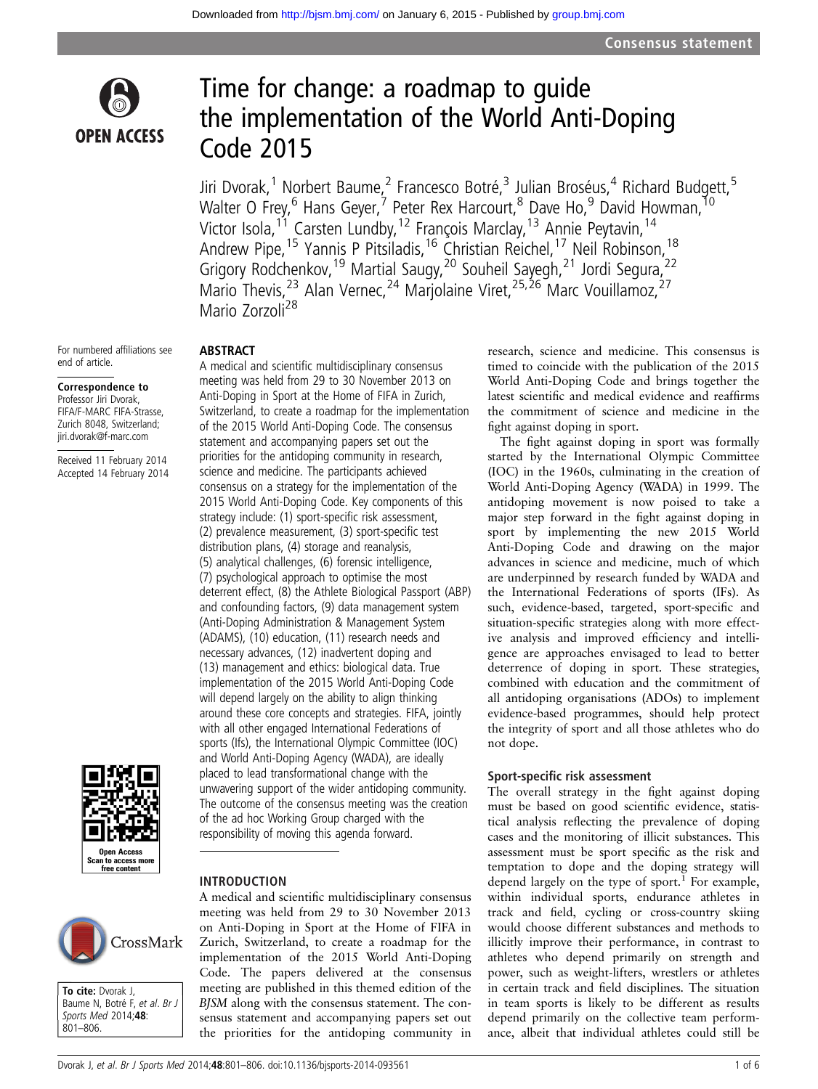

# Time for change: a roadmap to guide the implementation of the World Anti-Doping Code 2015

Jiri Dvorak,<sup>1</sup> Norbert Baume,<sup>2</sup> Francesco Botré,<sup>3</sup> Julian Broséus,<sup>4</sup> Richard Budgett,<sup>5</sup> Walter O Frey, $^6$  Hans Geyer, $^7$  Peter Rex Harcourt, $^8$  Dave Ho, $^9$  David Howman, $^{10}$ Victor Isola,<sup>11</sup> Carsten Lundby,<sup>12</sup> François Marclay,<sup>13</sup> Annie Peytavin,<sup>14</sup> Andrew Pipe,<sup>15</sup> Yannis P Pitsiladis,<sup>16</sup> Christian Reichel,<sup>17</sup> Neil Robinson,<sup>18</sup> Grigory Rodchenkov,<sup>19</sup> Martial Saugy,<sup>20</sup> Souheil Sayegh,<sup>21</sup> Jordi Segura,<sup>22</sup> Mario Thevis,<sup>23</sup> Alan Vernec,<sup>24</sup> Marjolaine Viret,<sup>25,26</sup> Marc Vouillamoz,<sup>27</sup> Mario Zorzoli<sup>28</sup>

For numbered affiliations see end of article.

#### Correspondence to

Professor Jiri Dvorak, FIFA/F-MARC FIFA-Strasse, Zurich 8048, Switzerland; jiri.dvorak@f-marc.com

Received 11 February 2014 Accepted 14 February 2014



#### ABSTRACT

A medical and scientific multidisciplinary consensus meeting was held from 29 to 30 November 2013 on Anti-Doping in Sport at the Home of FIFA in Zurich, Switzerland, to create a roadmap for the implementation of the 2015 World Anti-Doping Code. The consensus statement and accompanying papers set out the priorities for the antidoping community in research, science and medicine. The participants achieved consensus on a strategy for the implementation of the 2015 World Anti-Doping Code. Key components of this strategy include: (1) sport-specific risk assessment, (2) prevalence measurement, (3) sport-specific test distribution plans, (4) storage and reanalysis, (5) analytical challenges, (6) forensic intelligence, (7) psychological approach to optimise the most deterrent effect, (8) the Athlete Biological Passport (ABP) and confounding factors, (9) data management system (Anti-Doping Administration & Management System (ADAMS), (10) education, (11) research needs and necessary advances, (12) inadvertent doping and (13) management and ethics: biological data. True implementation of the 2015 World Anti-Doping Code will depend largely on the ability to align thinking around these core concepts and strategies. FIFA, jointly with all other engaged International Federations of sports (Ifs), the International Olympic Committee (IOC) and World Anti-Doping Agency (WADA), are ideally placed to lead transformational change with the unwavering support of the wider antidoping community. The outcome of the consensus meeting was the creation of the ad hoc Working Group charged with the responsibility of moving this agenda forward.

# CrossMark

To cite: Dvorak J. Baume N, Botré F, et al. Br J Sports Med 2014;48: 801–806.

#### INTRODUCTION

A medical and scientific multidisciplinary consensus meeting was held from 29 to 30 November 2013 on Anti-Doping in Sport at the Home of FIFA in Zurich, Switzerland, to create a roadmap for the implementation of the 2015 World Anti-Doping Code. The papers delivered at the consensus meeting are published in this themed edition of the BJSM along with the consensus statement. The consensus statement and accompanying papers set out the priorities for the antidoping community in research, science and medicine. This consensus is timed to coincide with the publication of the 2015 World Anti-Doping Code and brings together the latest scientific and medical evidence and reaffirms the commitment of science and medicine in the fight against doping in sport.

The fight against doping in sport was formally started by the International Olympic Committee (IOC) in the 1960s, culminating in the creation of World Anti-Doping Agency (WADA) in 1999. The antidoping movement is now poised to take a major step forward in the fight against doping in sport by implementing the new 2015 World Anti-Doping Code and drawing on the major advances in science and medicine, much of which are underpinned by research funded by WADA and the International Federations of sports (IFs). As such, evidence-based, targeted, sport-specific and situation-specific strategies along with more effective analysis and improved efficiency and intelligence are approaches envisaged to lead to better deterrence of doping in sport. These strategies, combined with education and the commitment of all antidoping organisations (ADOs) to implement evidence-based programmes, should help protect the integrity of sport and all those athletes who do not dope.

#### Sport-specific risk assessment

The overall strategy in the fight against doping must be based on good scientific evidence, statistical analysis reflecting the prevalence of doping cases and the monitoring of illicit substances. This assessment must be sport specific as the risk and temptation to dope and the doping strategy will depend largely on the type of sport.<sup>1</sup> For example, within individual sports, endurance athletes in track and field, cycling or cross-country skiing would choose different substances and methods to illicitly improve their performance, in contrast to athletes who depend primarily on strength and power, such as weight-lifters, wrestlers or athletes in certain track and field disciplines. The situation in team sports is likely to be different as results depend primarily on the collective team performance, albeit that individual athletes could still be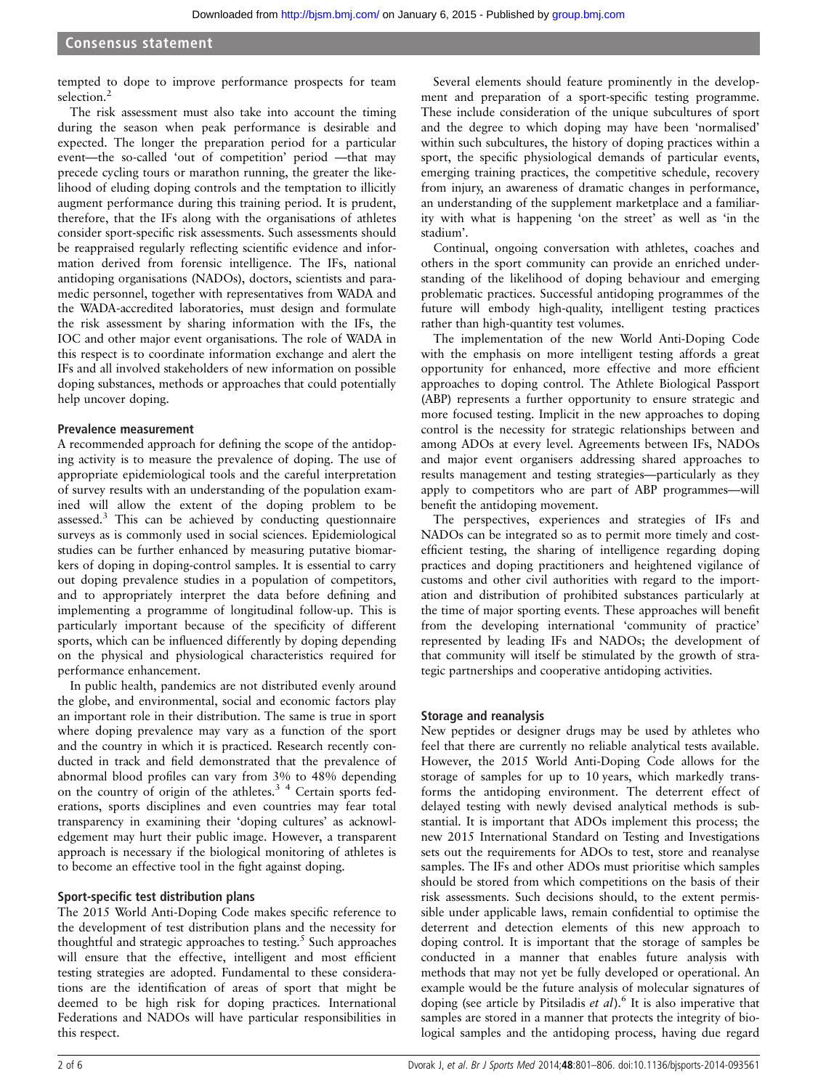tempted to dope to improve performance prospects for team selection.<sup>2</sup>

The risk assessment must also take into account the timing during the season when peak performance is desirable and expected. The longer the preparation period for a particular event—the so-called 'out of competition' period —that may precede cycling tours or marathon running, the greater the likelihood of eluding doping controls and the temptation to illicitly augment performance during this training period. It is prudent, therefore, that the IFs along with the organisations of athletes consider sport-specific risk assessments. Such assessments should be reappraised regularly reflecting scientific evidence and information derived from forensic intelligence. The IFs, national antidoping organisations (NADOs), doctors, scientists and paramedic personnel, together with representatives from WADA and the WADA-accredited laboratories, must design and formulate the risk assessment by sharing information with the IFs, the IOC and other major event organisations. The role of WADA in this respect is to coordinate information exchange and alert the IFs and all involved stakeholders of new information on possible doping substances, methods or approaches that could potentially help uncover doping.

#### Prevalence measurement

A recommended approach for defining the scope of the antidoping activity is to measure the prevalence of doping. The use of appropriate epidemiological tools and the careful interpretation of survey results with an understanding of the population examined will allow the extent of the doping problem to be assessed.<sup>3</sup> This can be achieved by conducting questionnaire surveys as is commonly used in social sciences. Epidemiological studies can be further enhanced by measuring putative biomarkers of doping in doping-control samples. It is essential to carry out doping prevalence studies in a population of competitors, and to appropriately interpret the data before defining and implementing a programme of longitudinal follow-up. This is particularly important because of the specificity of different sports, which can be influenced differently by doping depending on the physical and physiological characteristics required for performance enhancement.

In public health, pandemics are not distributed evenly around the globe, and environmental, social and economic factors play an important role in their distribution. The same is true in sport where doping prevalence may vary as a function of the sport and the country in which it is practiced. Research recently conducted in track and field demonstrated that the prevalence of abnormal blood profiles can vary from 3% to 48% depending on the country of origin of the athletes.<sup>3 4</sup> Certain sports federations, sports disciplines and even countries may fear total transparency in examining their 'doping cultures' as acknowledgement may hurt their public image. However, a transparent approach is necessary if the biological monitoring of athletes is to become an effective tool in the fight against doping.

#### Sport-specific test distribution plans

The 2015 World Anti-Doping Code makes specific reference to the development of test distribution plans and the necessity for thoughtful and strategic approaches to testing.<sup>5</sup> Such approaches will ensure that the effective, intelligent and most efficient testing strategies are adopted. Fundamental to these considerations are the identification of areas of sport that might be deemed to be high risk for doping practices. International Federations and NADOs will have particular responsibilities in this respect.

Several elements should feature prominently in the development and preparation of a sport-specific testing programme. These include consideration of the unique subcultures of sport and the degree to which doping may have been 'normalised' within such subcultures, the history of doping practices within a sport, the specific physiological demands of particular events, emerging training practices, the competitive schedule, recovery from injury, an awareness of dramatic changes in performance, an understanding of the supplement marketplace and a familiarity with what is happening 'on the street' as well as 'in the stadium'.

Continual, ongoing conversation with athletes, coaches and others in the sport community can provide an enriched understanding of the likelihood of doping behaviour and emerging problematic practices. Successful antidoping programmes of the future will embody high-quality, intelligent testing practices rather than high-quantity test volumes.

The implementation of the new World Anti-Doping Code with the emphasis on more intelligent testing affords a great opportunity for enhanced, more effective and more efficient approaches to doping control. The Athlete Biological Passport (ABP) represents a further opportunity to ensure strategic and more focused testing. Implicit in the new approaches to doping control is the necessity for strategic relationships between and among ADOs at every level. Agreements between IFs, NADOs and major event organisers addressing shared approaches to results management and testing strategies—particularly as they apply to competitors who are part of ABP programmes—will benefit the antidoping movement.

The perspectives, experiences and strategies of IFs and NADOs can be integrated so as to permit more timely and costefficient testing, the sharing of intelligence regarding doping practices and doping practitioners and heightened vigilance of customs and other civil authorities with regard to the importation and distribution of prohibited substances particularly at the time of major sporting events. These approaches will benefit from the developing international 'community of practice' represented by leading IFs and NADOs; the development of that community will itself be stimulated by the growth of strategic partnerships and cooperative antidoping activities.

#### Storage and reanalysis

New peptides or designer drugs may be used by athletes who feel that there are currently no reliable analytical tests available. However, the 2015 World Anti-Doping Code allows for the storage of samples for up to 10 years, which markedly transforms the antidoping environment. The deterrent effect of delayed testing with newly devised analytical methods is substantial. It is important that ADOs implement this process; the new 2015 International Standard on Testing and Investigations sets out the requirements for ADOs to test, store and reanalyse samples. The IFs and other ADOs must prioritise which samples should be stored from which competitions on the basis of their risk assessments. Such decisions should, to the extent permissible under applicable laws, remain confidential to optimise the deterrent and detection elements of this new approach to doping control. It is important that the storage of samples be conducted in a manner that enables future analysis with methods that may not yet be fully developed or operational. An example would be the future analysis of molecular signatures of doping (see article by Pitsiladis et  $al$ ).<sup>6</sup> It is also imperative that samples are stored in a manner that protects the integrity of biological samples and the antidoping process, having due regard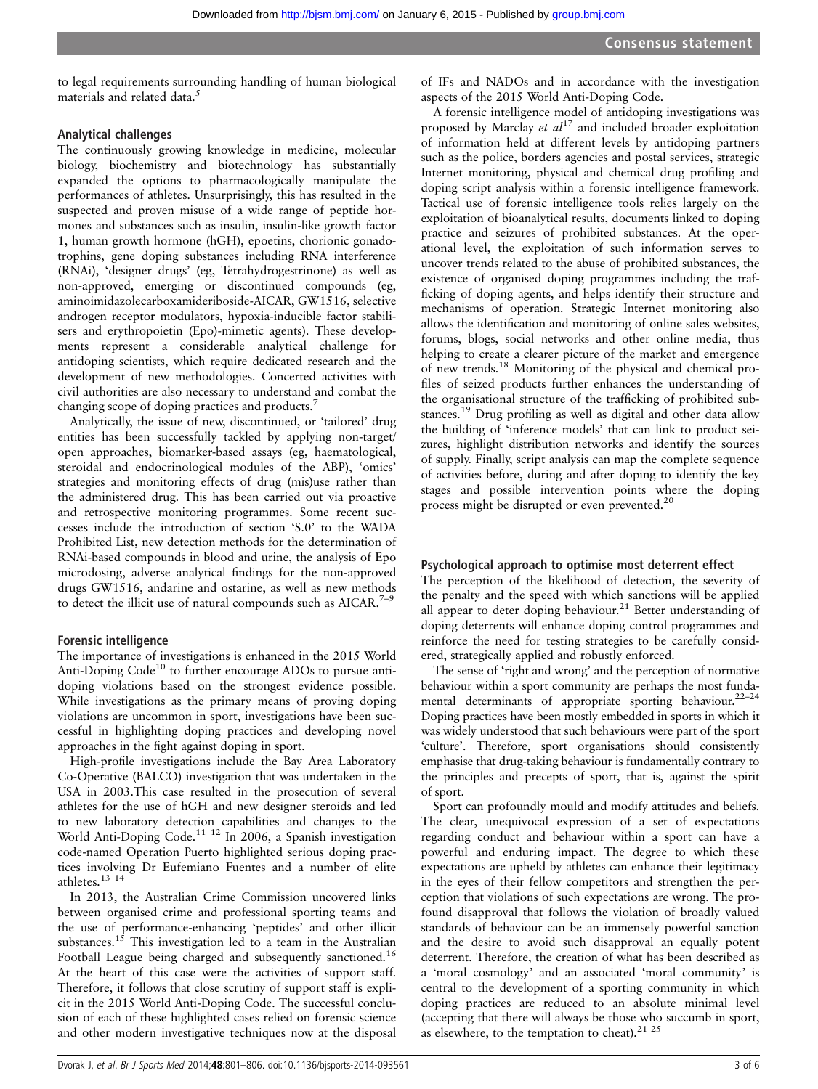to legal requirements surrounding handling of human biological materials and related data.<sup>5</sup>

#### Analytical challenges

The continuously growing knowledge in medicine, molecular biology, biochemistry and biotechnology has substantially expanded the options to pharmacologically manipulate the performances of athletes. Unsurprisingly, this has resulted in the suspected and proven misuse of a wide range of peptide hormones and substances such as insulin, insulin-like growth factor 1, human growth hormone (hGH), epoetins, chorionic gonadotrophins, gene doping substances including RNA interference (RNAi), 'designer drugs' (eg, Tetrahydrogestrinone) as well as non-approved, emerging or discontinued compounds (eg, aminoimidazolecarboxamideriboside-AICAR, GW1516, selective androgen receptor modulators, hypoxia-inducible factor stabilisers and erythropoietin (Epo)-mimetic agents). These developments represent a considerable analytical challenge for antidoping scientists, which require dedicated research and the development of new methodologies. Concerted activities with civil authorities are also necessary to understand and combat the changing scope of doping practices and products.7

Analytically, the issue of new, discontinued, or 'tailored' drug entities has been successfully tackled by applying non-target/ open approaches, biomarker-based assays (eg, haematological, steroidal and endocrinological modules of the ABP), 'omics' strategies and monitoring effects of drug (mis)use rather than the administered drug. This has been carried out via proactive and retrospective monitoring programmes. Some recent successes include the introduction of section 'S.0' to the WADA Prohibited List, new detection methods for the determination of RNAi-based compounds in blood and urine, the analysis of Epo microdosing, adverse analytical findings for the non-approved drugs GW1516, andarine and ostarine, as well as new methods to detect the illicit use of natural compounds such as  $AICAR$ .<sup>7–9</sup>

#### Forensic intelligence

The importance of investigations is enhanced in the 2015 World Anti-Doping Code<sup>10</sup> to further encourage ADOs to pursue antidoping violations based on the strongest evidence possible. While investigations as the primary means of proving doping violations are uncommon in sport, investigations have been successful in highlighting doping practices and developing novel approaches in the fight against doping in sport.

High-profile investigations include the Bay Area Laboratory Co-Operative (BALCO) investigation that was undertaken in the USA in 2003.This case resulted in the prosecution of several athletes for the use of hGH and new designer steroids and led to new laboratory detection capabilities and changes to the World Anti-Doping Code.<sup>11 12</sup> In 2006, a Spanish investigation code-named Operation Puerto highlighted serious doping practices involving Dr Eufemiano Fuentes and a number of elite athletes.13 14

In 2013, the Australian Crime Commission uncovered links between organised crime and professional sporting teams and the use of performance-enhancing 'peptides' and other illicit substances.<sup>15</sup> This investigation led to a team in the Australian Football League being charged and subsequently sanctioned.<sup>16</sup> At the heart of this case were the activities of support staff. Therefore, it follows that close scrutiny of support staff is explicit in the 2015 World Anti-Doping Code. The successful conclusion of each of these highlighted cases relied on forensic science and other modern investigative techniques now at the disposal

of IFs and NADOs and in accordance with the investigation aspects of the 2015 World Anti-Doping Code.

A forensic intelligence model of antidoping investigations was proposed by Marclay et  $al^{17}$  and included broader exploitation of information held at different levels by antidoping partners such as the police, borders agencies and postal services, strategic Internet monitoring, physical and chemical drug profiling and doping script analysis within a forensic intelligence framework. Tactical use of forensic intelligence tools relies largely on the exploitation of bioanalytical results, documents linked to doping practice and seizures of prohibited substances. At the operational level, the exploitation of such information serves to uncover trends related to the abuse of prohibited substances, the existence of organised doping programmes including the trafficking of doping agents, and helps identify their structure and mechanisms of operation. Strategic Internet monitoring also allows the identification and monitoring of online sales websites, forums, blogs, social networks and other online media, thus helping to create a clearer picture of the market and emergence of new trends.18 Monitoring of the physical and chemical profiles of seized products further enhances the understanding of the organisational structure of the trafficking of prohibited substances.<sup>19</sup> Drug profiling as well as digital and other data allow the building of 'inference models' that can link to product seizures, highlight distribution networks and identify the sources of supply. Finally, script analysis can map the complete sequence of activities before, during and after doping to identify the key stages and possible intervention points where the doping process might be disrupted or even prevented.<sup>20</sup>

#### Psychological approach to optimise most deterrent effect

The perception of the likelihood of detection, the severity of the penalty and the speed with which sanctions will be applied all appear to deter doping behaviour.<sup>21</sup> Better understanding of doping deterrents will enhance doping control programmes and reinforce the need for testing strategies to be carefully considered, strategically applied and robustly enforced.

The sense of 'right and wrong' and the perception of normative behaviour within a sport community are perhaps the most fundamental determinants of appropriate sporting behaviour.<sup>22-24</sup> Doping practices have been mostly embedded in sports in which it was widely understood that such behaviours were part of the sport 'culture'. Therefore, sport organisations should consistently emphasise that drug-taking behaviour is fundamentally contrary to the principles and precepts of sport, that is, against the spirit of sport.

Sport can profoundly mould and modify attitudes and beliefs. The clear, unequivocal expression of a set of expectations regarding conduct and behaviour within a sport can have a powerful and enduring impact. The degree to which these expectations are upheld by athletes can enhance their legitimacy in the eyes of their fellow competitors and strengthen the perception that violations of such expectations are wrong. The profound disapproval that follows the violation of broadly valued standards of behaviour can be an immensely powerful sanction and the desire to avoid such disapproval an equally potent deterrent. Therefore, the creation of what has been described as a 'moral cosmology' and an associated 'moral community' is central to the development of a sporting community in which doping practices are reduced to an absolute minimal level (accepting that there will always be those who succumb in sport, as elsewhere, to the temptation to cheat). $21$  25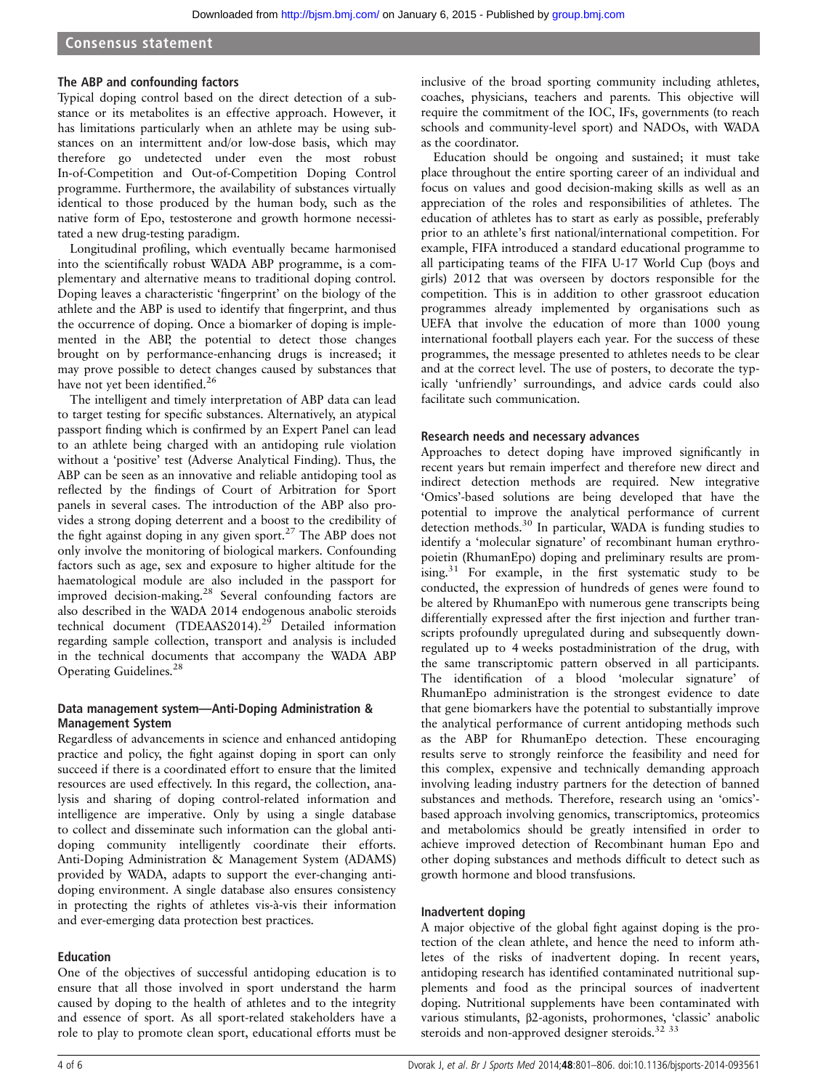#### Consensus statement

#### The ABP and confounding factors

Typical doping control based on the direct detection of a substance or its metabolites is an effective approach. However, it has limitations particularly when an athlete may be using substances on an intermittent and/or low-dose basis, which may therefore go undetected under even the most robust In-of-Competition and Out-of-Competition Doping Control programme. Furthermore, the availability of substances virtually identical to those produced by the human body, such as the native form of Epo, testosterone and growth hormone necessitated a new drug-testing paradigm.

Longitudinal profiling, which eventually became harmonised into the scientifically robust WADA ABP programme, is a complementary and alternative means to traditional doping control. Doping leaves a characteristic 'fingerprint' on the biology of the athlete and the ABP is used to identify that fingerprint, and thus the occurrence of doping. Once a biomarker of doping is implemented in the ABP, the potential to detect those changes brought on by performance-enhancing drugs is increased; it may prove possible to detect changes caused by substances that have not yet been identified.<sup>26</sup>

The intelligent and timely interpretation of ABP data can lead to target testing for specific substances. Alternatively, an atypical passport finding which is confirmed by an Expert Panel can lead to an athlete being charged with an antidoping rule violation without a 'positive' test (Adverse Analytical Finding). Thus, the ABP can be seen as an innovative and reliable antidoping tool as reflected by the findings of Court of Arbitration for Sport panels in several cases. The introduction of the ABP also provides a strong doping deterrent and a boost to the credibility of the fight against doping in any given sport.<sup>27</sup> The ABP does not only involve the monitoring of biological markers. Confounding factors such as age, sex and exposure to higher altitude for the haematological module are also included in the passport for improved decision-making.<sup>28</sup> Several confounding factors are also described in the WADA 2014 endogenous anabolic steroids technical document (TDEAAS2014).<sup>29</sup> Detailed information regarding sample collection, transport and analysis is included in the technical documents that accompany the WADA ABP Operating Guidelines.<sup>28</sup>

#### Data management system—Anti-Doping Administration & Management System

Regardless of advancements in science and enhanced antidoping practice and policy, the fight against doping in sport can only succeed if there is a coordinated effort to ensure that the limited resources are used effectively. In this regard, the collection, analysis and sharing of doping control-related information and intelligence are imperative. Only by using a single database to collect and disseminate such information can the global antidoping community intelligently coordinate their efforts. Anti-Doping Administration & Management System (ADAMS) provided by WADA, adapts to support the ever-changing antidoping environment. A single database also ensures consistency in protecting the rights of athletes vis-à-vis their information and ever-emerging data protection best practices.

#### Education

One of the objectives of successful antidoping education is to ensure that all those involved in sport understand the harm caused by doping to the health of athletes and to the integrity and essence of sport. As all sport-related stakeholders have a role to play to promote clean sport, educational efforts must be

inclusive of the broad sporting community including athletes, coaches, physicians, teachers and parents. This objective will require the commitment of the IOC, IFs, governments (to reach schools and community-level sport) and NADOs, with WADA as the coordinator.

Education should be ongoing and sustained; it must take place throughout the entire sporting career of an individual and focus on values and good decision-making skills as well as an appreciation of the roles and responsibilities of athletes. The education of athletes has to start as early as possible, preferably prior to an athlete's first national/international competition. For example, FIFA introduced a standard educational programme to all participating teams of the FIFA U-17 World Cup (boys and girls) 2012 that was overseen by doctors responsible for the competition. This is in addition to other grassroot education programmes already implemented by organisations such as UEFA that involve the education of more than 1000 young international football players each year. For the success of these programmes, the message presented to athletes needs to be clear and at the correct level. The use of posters, to decorate the typically 'unfriendly' surroundings, and advice cards could also facilitate such communication.

#### Research needs and necessary advances

Approaches to detect doping have improved significantly in recent years but remain imperfect and therefore new direct and indirect detection methods are required. New integrative 'Omics'-based solutions are being developed that have the potential to improve the analytical performance of current detection methods.<sup>30</sup> In particular, WADA is funding studies to identify a 'molecular signature' of recombinant human erythropoietin (RhumanEpo) doping and preliminary results are promising.<sup>31</sup> For example, in the first systematic study to be conducted, the expression of hundreds of genes were found to be altered by RhumanEpo with numerous gene transcripts being differentially expressed after the first injection and further transcripts profoundly upregulated during and subsequently downregulated up to 4 weeks postadministration of the drug, with the same transcriptomic pattern observed in all participants. The identification of a blood 'molecular signature' of RhumanEpo administration is the strongest evidence to date that gene biomarkers have the potential to substantially improve the analytical performance of current antidoping methods such as the ABP for RhumanEpo detection. These encouraging results serve to strongly reinforce the feasibility and need for this complex, expensive and technically demanding approach involving leading industry partners for the detection of banned substances and methods. Therefore, research using an 'omics' based approach involving genomics, transcriptomics, proteomics and metabolomics should be greatly intensified in order to achieve improved detection of Recombinant human Epo and other doping substances and methods difficult to detect such as growth hormone and blood transfusions.

#### Inadvertent doping

A major objective of the global fight against doping is the protection of the clean athlete, and hence the need to inform athletes of the risks of inadvertent doping. In recent years, antidoping research has identified contaminated nutritional supplements and food as the principal sources of inadvertent doping. Nutritional supplements have been contaminated with various stimulants, β2-agonists, prohormones, 'classic' anabolic steroids and non-approved designer steroids.<sup>32</sup> <sup>33</sup>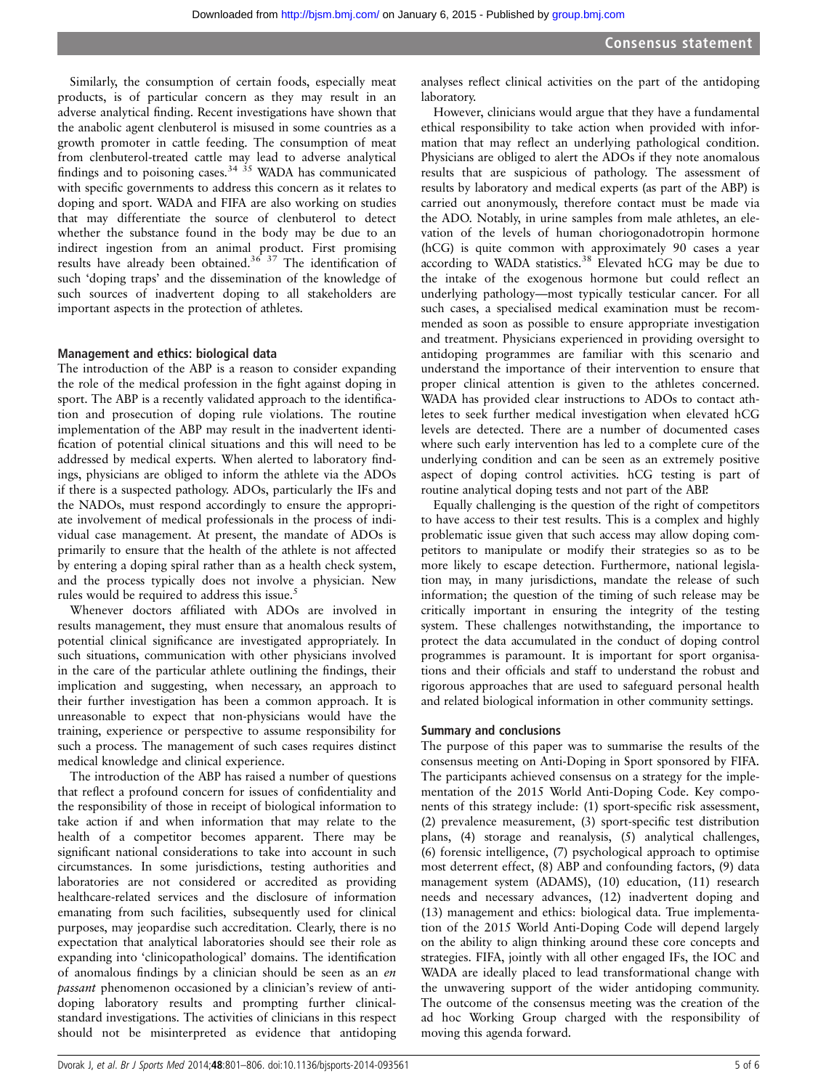Similarly, the consumption of certain foods, especially meat products, is of particular concern as they may result in an adverse analytical finding. Recent investigations have shown that the anabolic agent clenbuterol is misused in some countries as a growth promoter in cattle feeding. The consumption of meat from clenbuterol-treated cattle may lead to adverse analytical findings and to poisoning cases.<sup>34 35</sup> WADA has communicated with specific governments to address this concern as it relates to doping and sport. WADA and FIFA are also working on studies that may differentiate the source of clenbuterol to detect whether the substance found in the body may be due to an indirect ingestion from an animal product. First promising results have already been obtained.36 37 The identification of such 'doping traps' and the dissemination of the knowledge of such sources of inadvertent doping to all stakeholders are important aspects in the protection of athletes.

#### Management and ethics: biological data

The introduction of the ABP is a reason to consider expanding the role of the medical profession in the fight against doping in sport. The ABP is a recently validated approach to the identification and prosecution of doping rule violations. The routine implementation of the ABP may result in the inadvertent identification of potential clinical situations and this will need to be addressed by medical experts. When alerted to laboratory findings, physicians are obliged to inform the athlete via the ADOs if there is a suspected pathology. ADOs, particularly the IFs and the NADOs, must respond accordingly to ensure the appropriate involvement of medical professionals in the process of individual case management. At present, the mandate of ADOs is primarily to ensure that the health of the athlete is not affected by entering a doping spiral rather than as a health check system, and the process typically does not involve a physician. New rules would be required to address this issue.<sup>5</sup>

Whenever doctors affiliated with ADOs are involved in results management, they must ensure that anomalous results of potential clinical significance are investigated appropriately. In such situations, communication with other physicians involved in the care of the particular athlete outlining the findings, their implication and suggesting, when necessary, an approach to their further investigation has been a common approach. It is unreasonable to expect that non-physicians would have the training, experience or perspective to assume responsibility for such a process. The management of such cases requires distinct medical knowledge and clinical experience.

The introduction of the ABP has raised a number of questions that reflect a profound concern for issues of confidentiality and the responsibility of those in receipt of biological information to take action if and when information that may relate to the health of a competitor becomes apparent. There may be significant national considerations to take into account in such circumstances. In some jurisdictions, testing authorities and laboratories are not considered or accredited as providing healthcare-related services and the disclosure of information emanating from such facilities, subsequently used for clinical purposes, may jeopardise such accreditation. Clearly, there is no expectation that analytical laboratories should see their role as expanding into 'clinicopathological' domains. The identification of anomalous findings by a clinician should be seen as an en passant phenomenon occasioned by a clinician's review of antidoping laboratory results and prompting further clinicalstandard investigations. The activities of clinicians in this respect should not be misinterpreted as evidence that antidoping

analyses reflect clinical activities on the part of the antidoping laboratory.

However, clinicians would argue that they have a fundamental ethical responsibility to take action when provided with information that may reflect an underlying pathological condition. Physicians are obliged to alert the ADOs if they note anomalous results that are suspicious of pathology. The assessment of results by laboratory and medical experts (as part of the ABP) is carried out anonymously, therefore contact must be made via the ADO. Notably, in urine samples from male athletes, an elevation of the levels of human choriogonadotropin hormone (hCG) is quite common with approximately 90 cases a year according to WADA statistics.<sup>38</sup> Elevated hCG may be due to the intake of the exogenous hormone but could reflect an underlying pathology—most typically testicular cancer. For all such cases, a specialised medical examination must be recommended as soon as possible to ensure appropriate investigation and treatment. Physicians experienced in providing oversight to antidoping programmes are familiar with this scenario and understand the importance of their intervention to ensure that proper clinical attention is given to the athletes concerned. WADA has provided clear instructions to ADOs to contact athletes to seek further medical investigation when elevated hCG levels are detected. There are a number of documented cases where such early intervention has led to a complete cure of the underlying condition and can be seen as an extremely positive aspect of doping control activities. hCG testing is part of routine analytical doping tests and not part of the ABP.

Equally challenging is the question of the right of competitors to have access to their test results. This is a complex and highly problematic issue given that such access may allow doping competitors to manipulate or modify their strategies so as to be more likely to escape detection. Furthermore, national legislation may, in many jurisdictions, mandate the release of such information; the question of the timing of such release may be critically important in ensuring the integrity of the testing system. These challenges notwithstanding, the importance to protect the data accumulated in the conduct of doping control programmes is paramount. It is important for sport organisations and their officials and staff to understand the robust and rigorous approaches that are used to safeguard personal health and related biological information in other community settings.

#### Summary and conclusions

The purpose of this paper was to summarise the results of the consensus meeting on Anti-Doping in Sport sponsored by FIFA. The participants achieved consensus on a strategy for the implementation of the 2015 World Anti-Doping Code. Key components of this strategy include: (1) sport-specific risk assessment, (2) prevalence measurement, (3) sport-specific test distribution plans, (4) storage and reanalysis, (5) analytical challenges, (6) forensic intelligence, (7) psychological approach to optimise most deterrent effect, (8) ABP and confounding factors, (9) data management system (ADAMS), (10) education, (11) research needs and necessary advances, (12) inadvertent doping and (13) management and ethics: biological data. True implementation of the 2015 World Anti-Doping Code will depend largely on the ability to align thinking around these core concepts and strategies. FIFA, jointly with all other engaged IFs, the IOC and WADA are ideally placed to lead transformational change with the unwavering support of the wider antidoping community. The outcome of the consensus meeting was the creation of the ad hoc Working Group charged with the responsibility of moving this agenda forward.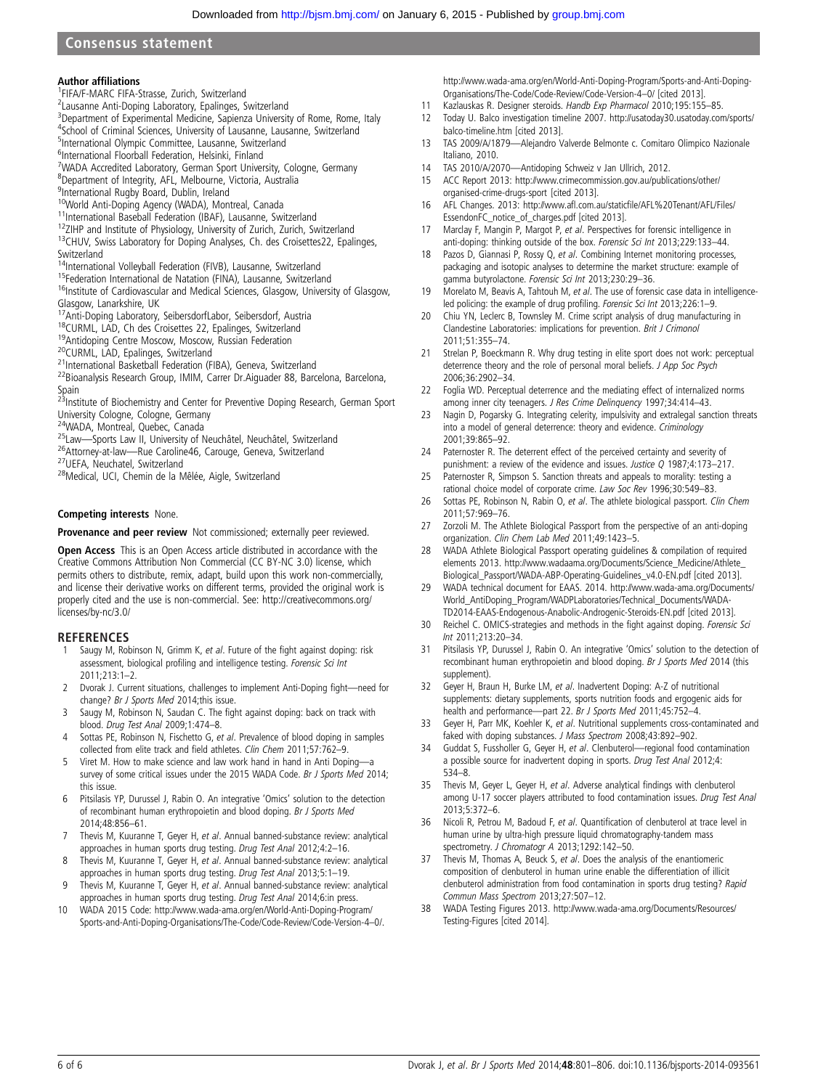#### Consensus statement

#### Author affiliations <sup>1</sup>

- <sup>1</sup>FIFA/F-MARC FIFA-Strasse, Zurich, Switzerland
- <sup>2</sup> Lausanne Anti-Doping Laboratory, Epalinges, Switzerland
- <sup>3</sup>Department of Experimental Medicine, Sapienza University of Rome, Rome, Italy
- 4 School of Criminal Sciences, University of Lausanne, Lausanne, Switzerland
- 5 International Olympic Committee, Lausanne, Switzerland
- <sup>6</sup>International Floorball Federation, Helsinki, Finland
- <sup>7</sup>WADA Accredited Laboratory, German Sport University, Cologne, Germany
- 8 Department of Integrity, AFL, Melbourne, Victoria, Australia
- <sup>9</sup>International Rugby Board, Dublin, Ireland
- 
- 
- 
- <sup>10</sup>World Anti-Doping Agency (WADA), Montreal, Canada<br><sup>11</sup>International Baseball Federation (IBAF), Lausanne, Switzerland<br><sup>12</sup>ZIHP and Institute of Physiology, University of Zurich, Zurich, Switzerland<br><sup>13</sup>CHUV, Swiss Lab
- 
- 
- Switzerland<br><sup>14</sup>International Volleyball Federation (FIVB), Lausanne, Switzerland<br><sup>15</sup>Federation International de Natation (FINA), Lausanne, Switzerland<br><sup>16</sup>Institute of Cardiovascular and Medical Sciences, Glasgow, Univer
- Glasgow, Lanarkshire, UK<br><sup>17</sup>Anti-Doping Laboratory, SeibersdorfLabor, Seibersdorf, Austria
- 
- 
- 
- 
- <sup>18</sup>CURML, LAD, Ch des Croisettes 22, Epalinges, Switzerland<br><sup>19</sup>Antidoping Centre Moscow, Moscow, Russian Federation<br><sup>20</sup>CURML, LAD, Epalinges, Switzerland<br><sup>21</sup>International Basketball Federation (FIBA), Geneva, Switzerl Spain
- 23Institute of Biochemistry and Center for Preventive Doping Research, German Sport
- University Cologne, Cologne, Germany<br><sup>24</sup>WADA, Montreal, Quebec, Canada
- <sup>25</sup> Law—Sports Law II, University of Neuchâtel, Neuchâtel, Switzerland<sup>26</sup> Attorney-at-law—Rue Caroline46, Carouge, Geneva, Switzerland<sup>27</sup> UEFA, Neuchatel, Switzerland<br><sup>27</sup> UEFA, Neuchatel, Switzerland<br><sup>28</sup> Medical, UCI
- 
- 
- 

#### Competing interests None.

Provenance and peer review Not commissioned; externally peer reviewed.

Open Access This is an Open Access article distributed in accordance with the Creative Commons Attribution Non Commercial (CC BY-NC 3.0) license, which permits others to distribute, remix, adapt, build upon this work non-commercially, and license their derivative works on different terms, provided the original work is properly cited and the use is non-commercial. See: http://creativecommons.org/ licenses/by-nc/3.0/

#### **REFERENCES**

- Saugy M, Robinson N, Grimm K, et al. Future of the fight against doping: risk assessment, biological profiling and intelligence testing. Forensic Sci Int 2011;213:1–2.
- 2 Dvorak J. Current situations, challenges to implement Anti-Doping fight—need for change? Br J Sports Med 2014;this issue.
- 3 Saugy M, Robinson N, Saudan C. The fight against doping: back on track with blood. Drug Test Anal 2009;1:474–8.
- Sottas PE, Robinson N, Fischetto G, et al. Prevalence of blood doping in samples collected from elite track and field athletes. Clin Chem 2011;57:762–9.
- 5 Viret M. How to make science and law work hand in hand in Anti Doping—a survey of some critical issues under the 2015 WADA Code. Br J Sports Med 2014; this issue.
- 6 Pitsilasis YP, Durussel J, Rabin O. An integrative 'Omics' solution to the detection of recombinant human erythropoietin and blood doping. Br J Sports Med 2014;48:856–61.
- 7 Thevis M, Kuuranne T, Geyer H, et al. Annual banned-substance review: analytical approaches in human sports drug testing. Drug Test Anal 2012;4:2–16.
- 8 Thevis M, Kuuranne T, Geyer H, et al. Annual banned-substance review: analytical approaches in human sports drug testing. Drug Test Anal 2013;5:1–19.
- 9 Thevis M, Kuuranne T, Geyer H, et al. Annual banned-substance review: analytical approaches in human sports drug testing. Drug Test Anal 2014;6:in press.
- 10 WADA 2015 Code: [http://www.wada-ama.org/en/World-Anti-Doping-Program/](http://www.wada-ama.org/en/World-Anti-Doping-Program/Sports-and-Anti-Doping-Organisations/The-Code/Code-Review/Code-Version-4–0/) [Sports-and-Anti-Doping-Organisations/The-Code/Code-Review/Code-Version-4](http://www.wada-ama.org/en/World-Anti-Doping-Program/Sports-and-Anti-Doping-Organisations/The-Code/Code-Review/Code-Version-4–0/)–0/.

[http://www.wada-ama.org/en/World-Anti-Doping-Program/Sports-and-Anti-Doping-](http://www.wada-ama.org/en/World-Anti-Doping-Program/Sports-and-Anti-Doping-Organisations/The-Code/Code-Review/Code-Version-4–0/)[Organisations/The-Code/Code-Review/Code-Version-4](http://www.wada-ama.org/en/World-Anti-Doping-Program/Sports-and-Anti-Doping-Organisations/The-Code/Code-Review/Code-Version-4–0/)–0/ [cited 2013].

- 11 Kazlauskas R. Designer steroids. Handb Exp Pharmacol 2010;195:155–85.
- 12 Today U. Balco investigation timeline 2007. [http://usatoday30.usatoday.com/sports/](http://usatoday30.usatoday.com/sports/balco-timeline.htm) [balco-timeline.htm](http://usatoday30.usatoday.com/sports/balco-timeline.htm) [cited 2013].
- 13 TAS 2009/A/1879—Alejandro Valverde Belmonte c. Comitaro Olimpico Nazionale Italiano, 2010.
- 14 TAS 2010/A/2070—Antidoping Schweiz v Jan Ullrich, 2012.
- 15 ACC Report 2013: [http://www.crimecommission.gov.au/publications/other/](http://www.crimecommission.gov.au/publications/other/organised-crime-drugs-sport) [organised-crime-drugs-sport](http://www.crimecommission.gov.au/publications/other/organised-crime-drugs-sport) [cited 2013].
- 16 AFL Changes. 2013: [http://](http://www.afl.com.au/staticfile/AFL%20Tenant/AFL/Files/EssendonFC_notice_of_charges.pdf)www.afl.com.au/staticfi[le/AFL%20Tenant/AFL/Files/](http://www.afl.com.au/staticfile/AFL%20Tenant/AFL/Files/EssendonFC_notice_of_charges.pdf) [EssendonFC\\_notice\\_of\\_charges.pdf](http://www.afl.com.au/staticfile/AFL%20Tenant/AFL/Files/EssendonFC_notice_of_charges.pdf) [cited 2013].
- 17 Marclay F, Mangin P, Margot P, et al. Perspectives for forensic intelligence in anti-doping: thinking outside of the box. Forensic Sci Int 2013;229:133–44.
- 18 Pazos D, Giannasi P, Rossy Q, et al. Combining Internet monitoring processes, packaging and isotopic analyses to determine the market structure: example of gamma butyrolactone. Forensic Sci Int 2013;230:29–36.
- 19 Morelato M, Beavis A, Tahtouh M, et al. The use of forensic case data in intelligenceled policing: the example of drug profiling. Forensic Sci Int 2013;226:1-9.
- 20 Chiu YN, Leclerc B, Townsley M. Crime script analysis of drug manufacturing in Clandestine Laboratories: implications for prevention. Brit J Crimonol 2011;51:355–74.
- 21 Strelan P, Boeckmann R. Why drug testing in elite sport does not work: perceptual deterrence theory and the role of personal moral beliefs. J App Soc Psych 2006;36:2902–34.
- 22 Foglia WD. Perceptual deterrence and the mediating effect of internalized norms among inner city teenagers. J Res Crime Delinquency 1997;34:414-43.
- 23 Nagin D, Pogarsky G. Integrating celerity, impulsivity and extralegal sanction threats into a model of general deterrence: theory and evidence. Criminology 2001;39:865–92.
- 24 Paternoster R. The deterrent effect of the perceived certainty and severity of punishment: a review of the evidence and issues. Justice Q 1987;4:173-217.
- 25 Paternoster R, Simpson S. Sanction threats and appeals to morality: testing a rational choice model of corporate crime. Law Soc Rev 1996;30:549–83.
- 26 Sottas PE, Robinson N, Rabin O, et al. The athlete biological passport. Clin Chem 2011;57:969–76.
- 27 Zorzoli M. The Athlete Biological Passport from the perspective of an anti-doping organization. Clin Chem Lab Med 2011;49:1423–5.
- 28 WADA Athlete Biological Passport operating guidelines & compilation of required elements 2013. [http://www.wadaama.org/Documents/Science\\_Medicine/Athlete\\_](http://www.wadaama.org/Documents/Science_Medicine/Athlete_Biological_Passport/WADA-ABP-Operating-Guidelines_v4.0-EN.pdf) [Biological\\_Passport/WADA-ABP-Operating-Guidelines\\_v4.0-EN.pdf](http://www.wadaama.org/Documents/Science_Medicine/Athlete_Biological_Passport/WADA-ABP-Operating-Guidelines_v4.0-EN.pdf) [cited 2013].
- 29 WADA technical document for EAAS. 2014. [http://www.wada-ama.org/Documents/](http://www.wada-ama.org/Documents/World_AntiDoping_Program/WADPLaboratories/Technical_Documents/WADA-TD2014-EAAS-Endogenous-Anabolic-Androgenic-Steroids-EN.pdf) [World\\_AntiDoping\\_Program/WADPLaboratories/Technical\\_Documents/WADA-](http://www.wada-ama.org/Documents/World_AntiDoping_Program/WADPLaboratories/Technical_Documents/WADA-TD2014-EAAS-Endogenous-Anabolic-Androgenic-Steroids-EN.pdf)[TD2014-EAAS-Endogenous-Anabolic-Androgenic-Steroids-EN.pdf](http://www.wada-ama.org/Documents/World_AntiDoping_Program/WADPLaboratories/Technical_Documents/WADA-TD2014-EAAS-Endogenous-Anabolic-Androgenic-Steroids-EN.pdf) [cited 2013].
- 30 Reichel C. OMICS-strategies and methods in the fight against doping. Forensic Sci Int 2011;213:20–34.
- 31 Pitsilasis YP, Durussel J, Rabin O. An integrative 'Omics' solution to the detection of recombinant human erythropoietin and blood doping. Br J Sports Med 2014 (this supplement).
- 32 Geyer H, Braun H, Burke LM, et al. Inadvertent Doping: A-Z of nutritional supplements: dietary supplements, sports nutrition foods and ergogenic aids for health and performance—part 22. Br J Sports Med 2011;45:752-4.
- 33 Geyer H, Parr MK, Koehler K, et al. Nutritional supplements cross-contaminated and faked with doping substances. J Mass Spectrom 2008;43:892–902.
- 34 Guddat S, Fussholler G, Geyer H, et al. Clenbuterol—regional food contamination a possible source for inadvertent doping in sports. Drug Test Anal 2012;4: 534–8.
- 35 Thevis M, Geyer L, Geyer H, et al. Adverse analytical findings with clenbuterol among U-17 soccer players attributed to food contamination issues. Drug Test Anal 2013;5:372–6.
- 36 Nicoli R, Petrou M, Badoud F, et al. Quantification of clenbuterol at trace level in human urine by ultra-high pressure liquid chromatography-tandem mass spectrometry. J Chromatogr A 2013;1292:142-50.
- 37 Thevis M, Thomas A, Beuck S, et al. Does the analysis of the enantiomeric composition of clenbuterol in human urine enable the differentiation of illicit clenbuterol administration from food contamination in sports drug testing? Rapid Commun Mass Spectrom 2013;27:507–12.
- 38 WADA Testing Figures 2013. [http://www.wada-ama.org/Documents/Resources/](http://www.wada-ama.org/Documents/Resources/Testing-Figures) [Testing-Figures](http://www.wada-ama.org/Documents/Resources/Testing-Figures) [cited 2014].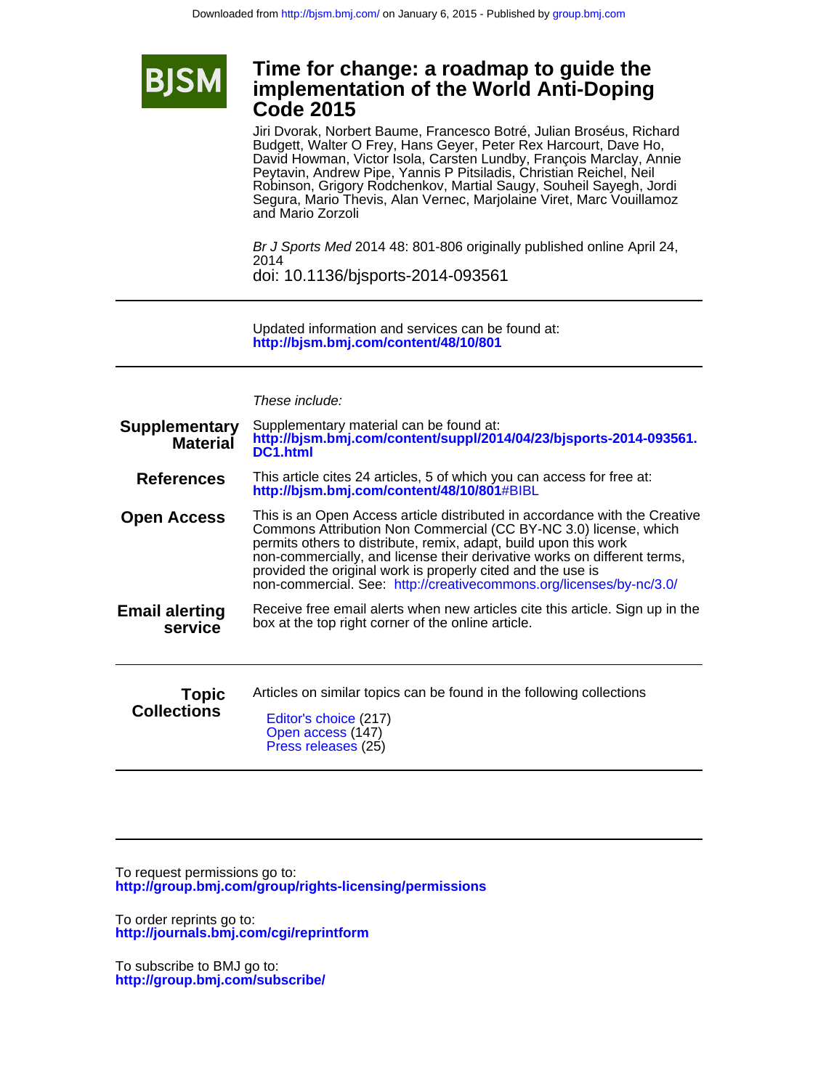

## **Code 2015 implementation of the World Anti-Doping Time for change: a roadmap to guide the**

and Mario Zorzoli Segura, Mario Thevis, Alan Vernec, Marjolaine Viret, Marc Vouillamoz Robinson, Grigory Rodchenkov, Martial Saugy, Souheil Sayegh, Jordi Peytavin, Andrew Pipe, Yannis P Pitsiladis, Christian Reichel, Neil David Howman, Victor Isola, Carsten Lundby, François Marclay, Annie Budgett, Walter O Frey, Hans Geyer, Peter Rex Harcourt, Dave Ho, Jiri Dvorak, Norbert Baume, Francesco Botré, Julian Broséus, Richard

2014 Br J Sports Med 2014 48: 801-806 originally published online April 24,

doi: 10.1136/bjsports-2014-093561

**<http://bjsm.bmj.com/content/48/10/801>** Updated information and services can be found at:

#### These include:

| <b>Supplementary</b><br><b>Material</b> | Supplementary material can be found at:<br>http://bjsm.bmj.com/content/suppl/2014/04/23/bjsports-2014-093561.<br>DC <sub>1.html</sub>                                                                                                                                                                                                                                                                                                |
|-----------------------------------------|--------------------------------------------------------------------------------------------------------------------------------------------------------------------------------------------------------------------------------------------------------------------------------------------------------------------------------------------------------------------------------------------------------------------------------------|
| <b>References</b>                       | This article cites 24 articles, 5 of which you can access for free at:<br>http://bjsm.bmj.com/content/48/10/801#BIBL                                                                                                                                                                                                                                                                                                                 |
| <b>Open Access</b>                      | This is an Open Access article distributed in accordance with the Creative<br>Commons Attribution Non Commercial (CC BY-NC 3.0) license, which<br>permits others to distribute, remix, adapt, build upon this work<br>non-commercially, and license their derivative works on different terms,<br>provided the original work is properly cited and the use is<br>non-commercial. See: http://creativecommons.org/licenses/by-nc/3.0/ |
| <b>Email alerting</b><br>service        | Receive free email alerts when new articles cite this article. Sign up in the<br>box at the top right corner of the online article.                                                                                                                                                                                                                                                                                                  |
| <b>Topic</b><br><b>Collections</b>      | Articles on similar topics can be found in the following collections<br>Editor's choice (217)<br>Open access (147)<br>Press releases (25)                                                                                                                                                                                                                                                                                            |

**<http://group.bmj.com/group/rights-licensing/permissions>** To request permissions go to:

**<http://journals.bmj.com/cgi/reprintform>** To order reprints go to:

**<http://group.bmj.com/subscribe/>** To subscribe to BMJ go to: